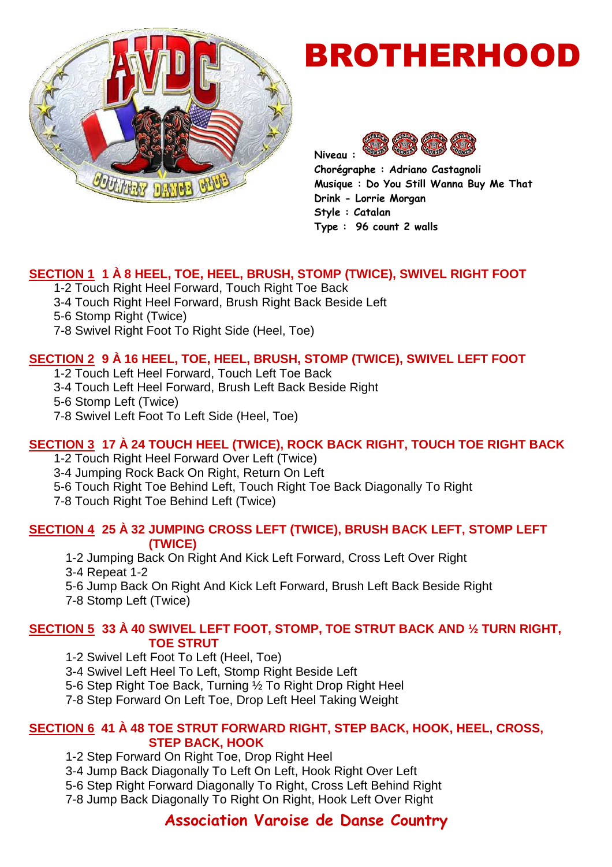

# BROTHERHOOD



**Chorégraphe : Adriano Castagnoli Musique : Do You Still Wanna Buy Me That Drink - Lorrie Morgan Style : Catalan Type : 96 count 2 walls** 

#### **SECTION 1 1 À 8 HEEL, TOE, HEEL, BRUSH, STOMP (TWICE), SWIVEL RIGHT FOOT**

1-2 Touch Right Heel Forward, Touch Right Toe Back

- 3-4 Touch Right Heel Forward, Brush Right Back Beside Left
- 5-6 Stomp Right (Twice)
- 7-8 Swivel Right Foot To Right Side (Heel, Toe)

### **SECTION 2 9 À 16 HEEL, TOE, HEEL, BRUSH, STOMP (TWICE), SWIVEL LEFT FOOT**

1-2 Touch Left Heel Forward, Touch Left Toe Back

3-4 Touch Left Heel Forward, Brush Left Back Beside Right

5-6 Stomp Left (Twice)

7-8 Swivel Left Foot To Left Side (Heel, Toe)

# **SECTION 3 17 À 24 TOUCH HEEL (TWICE), ROCK BACK RIGHT, TOUCH TOE RIGHT BACK**

1-2 Touch Right Heel Forward Over Left (Twice)

3-4 Jumping Rock Back On Right, Return On Left

5-6 Touch Right Toe Behind Left, Touch Right Toe Back Diagonally To Right

7-8 Touch Right Toe Behind Left (Twice)

#### **SECTION 4 25 À 32 JUMPING CROSS LEFT (TWICE), BRUSH BACK LEFT, STOMP LEFT (TWICE)**

1-2 Jumping Back On Right And Kick Left Forward, Cross Left Over Right

3-4 Repeat 1-2

5-6 Jump Back On Right And Kick Left Forward, Brush Left Back Beside Right

7-8 Stomp Left (Twice)

#### **SECTION 5 33 À 40 SWIVEL LEFT FOOT, STOMP, TOE STRUT BACK AND ½ TURN RIGHT, TOE STRUT**

1-2 Swivel Left Foot To Left (Heel, Toe)

3-4 Swivel Left Heel To Left, Stomp Right Beside Left

5-6 Step Right Toe Back, Turning ½ To Right Drop Right Heel

7-8 Step Forward On Left Toe, Drop Left Heel Taking Weight

#### **SECTION 6 41 À 48 TOE STRUT FORWARD RIGHT, STEP BACK, HOOK, HEEL, CROSS, STEP BACK, HOOK**

1-2 Step Forward On Right Toe, Drop Right Heel

3-4 Jump Back Diagonally To Left On Left, Hook Right Over Left

5-6 Step Right Forward Diagonally To Right, Cross Left Behind Right

7-8 Jump Back Diagonally To Right On Right, Hook Left Over Right

# **Association Varoise de Danse Country**